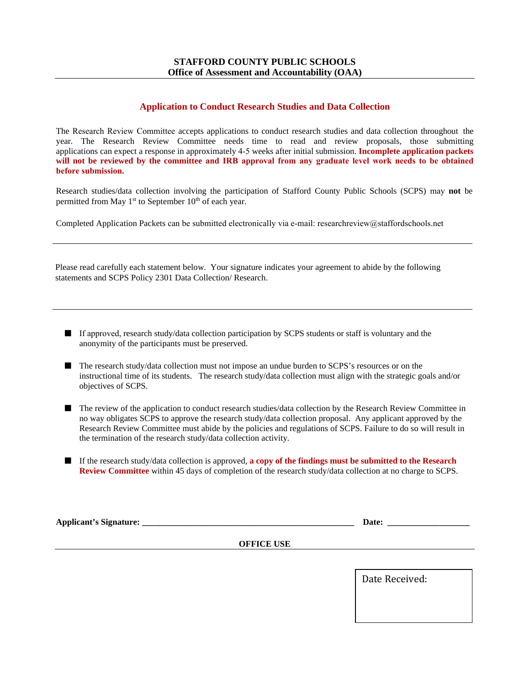### **STAFFORD COUNTY PUBLIC SCHOOLS Office of Assessment and Accountability (OAA)**

# **Application to Conduct Research Studies and Data Collection**

The Research Review Committee accepts applications to conduct research studies and data collection throughout the year. The Research Review Committee needs time to read and review proposals, those submitting applications can expect a response in approximately 4-5 weeks after initial submission. **Incomplete application packets**  will not be reviewed by the committee and IRB approval from any graduate level work needs to be obtained **before submission.**

Research studies/data collection involving the participation of Stafford County Public Schools (SCPS) may **not** be permitted from May  $1<sup>st</sup>$  to September  $10<sup>th</sup>$  of each year.

Completed Application Packets can be submitted electronically via e-mail: researchreview@staffordschools.net

Please read carefully each statement below. Your signature indicates your agreement to abide by the following statements and SCPS Policy 2301 Data Collection/ Research.

- If approved, research study/data collection participation by SCPS students or staff is voluntary and the anonymity of the participants must be preserved.
- The research study/data collection must not impose an undue burden to SCPS's resources or on the instructional time of its students. The research study/data collection must align with the strategic goals and/or objectives of SCPS.
- The review of the application to conduct research studies/data collection by the Research Review Committee in no way obligates SCPS to approve the research study/data collection proposal. Any applicant approved by the Research Review Committee must abide by the policies and regulations of SCPS. Failure to do so will result in the termination of the research study/data collection activity.
- If the research study/data collection is approved, **a copy of the findings must be submitted to the Research Review Committee** within 45 days of completion of the research study/data collection at no charge to SCPS.

| $ -$<br>Ann<br>. <b>. .</b> .<br> |  |  |
|-----------------------------------|--|--|
|                                   |  |  |

**OFFICE USE**

Date Received: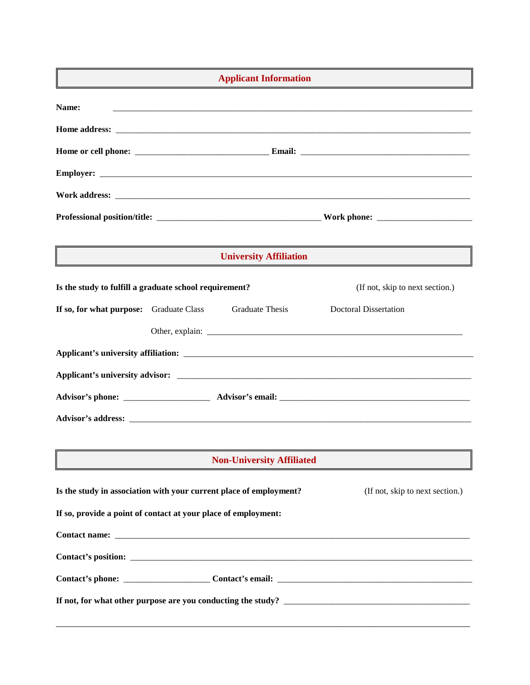| <b>Applicant Information</b><br>the control of the control of the control of |  |                                  |                                 |  |  |  |
|------------------------------------------------------------------------------|--|----------------------------------|---------------------------------|--|--|--|
| Name:                                                                        |  |                                  |                                 |  |  |  |
|                                                                              |  |                                  |                                 |  |  |  |
|                                                                              |  |                                  |                                 |  |  |  |
|                                                                              |  |                                  |                                 |  |  |  |
|                                                                              |  |                                  |                                 |  |  |  |
|                                                                              |  |                                  |                                 |  |  |  |
| <b>University Affiliation</b>                                                |  |                                  |                                 |  |  |  |
| Is the study to fulfill a graduate school requirement?                       |  |                                  | (If not, skip to next section.) |  |  |  |
| If so, for what purpose: Graduate Class                                      |  | <b>Graduate Thesis</b>           | <b>Doctoral Dissertation</b>    |  |  |  |
|                                                                              |  |                                  |                                 |  |  |  |
|                                                                              |  |                                  |                                 |  |  |  |
|                                                                              |  |                                  |                                 |  |  |  |
|                                                                              |  |                                  |                                 |  |  |  |
|                                                                              |  |                                  |                                 |  |  |  |
|                                                                              |  | <b>Non-University Affiliated</b> |                                 |  |  |  |
|                                                                              |  |                                  |                                 |  |  |  |
| Is the study in association with your current place of employment?           |  |                                  | (If not, skip to next section.) |  |  |  |
| If so, provide a point of contact at your place of employment:               |  |                                  |                                 |  |  |  |
|                                                                              |  |                                  |                                 |  |  |  |
|                                                                              |  |                                  |                                 |  |  |  |
|                                                                              |  |                                  |                                 |  |  |  |
|                                                                              |  |                                  |                                 |  |  |  |
|                                                                              |  |                                  |                                 |  |  |  |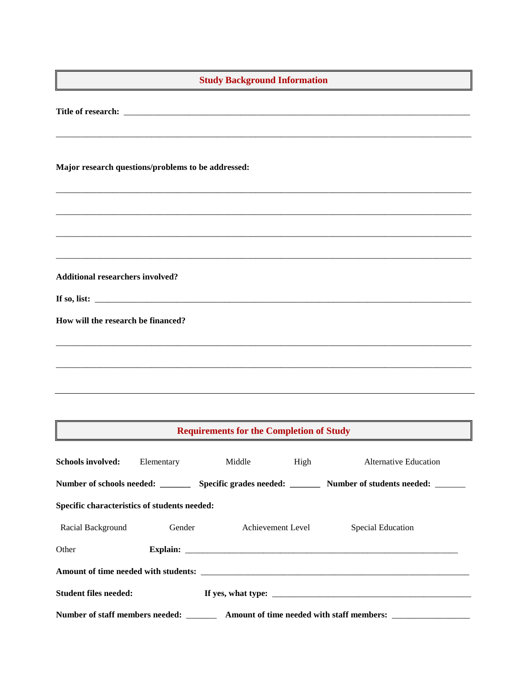| <b>Study Background Information</b>                                                                 |            |        |                   |                                                                                                         |  |  |
|-----------------------------------------------------------------------------------------------------|------------|--------|-------------------|---------------------------------------------------------------------------------------------------------|--|--|
|                                                                                                     |            |        |                   |                                                                                                         |  |  |
| Major research questions/problems to be addressed:                                                  |            |        |                   |                                                                                                         |  |  |
|                                                                                                     |            |        |                   |                                                                                                         |  |  |
|                                                                                                     |            |        |                   |                                                                                                         |  |  |
| <b>Additional researchers involved?</b>                                                             |            |        |                   |                                                                                                         |  |  |
|                                                                                                     |            |        |                   |                                                                                                         |  |  |
| How will the research be financed?                                                                  |            |        |                   |                                                                                                         |  |  |
|                                                                                                     |            |        |                   |                                                                                                         |  |  |
|                                                                                                     |            |        |                   |                                                                                                         |  |  |
| <b>Requirements for the Completion of Study</b>                                                     |            |        |                   |                                                                                                         |  |  |
| Schools involved:                                                                                   | Elementary | Middle | High              | Alternative Education                                                                                   |  |  |
|                                                                                                     |            |        |                   | Number of schools needed: _________ Specific grades needed: ________ Number of students needed: _______ |  |  |
| Specific characteristics of students needed:                                                        |            |        |                   |                                                                                                         |  |  |
| Racial Background                                                                                   | Gender     |        | Achievement Level | Special Education                                                                                       |  |  |
| Other                                                                                               |            |        |                   |                                                                                                         |  |  |
|                                                                                                     |            |        |                   |                                                                                                         |  |  |
| <b>Student files needed:</b>                                                                        |            |        |                   |                                                                                                         |  |  |
| Number of staff members needed: __________ Amount of time needed with staff members: ______________ |            |        |                   |                                                                                                         |  |  |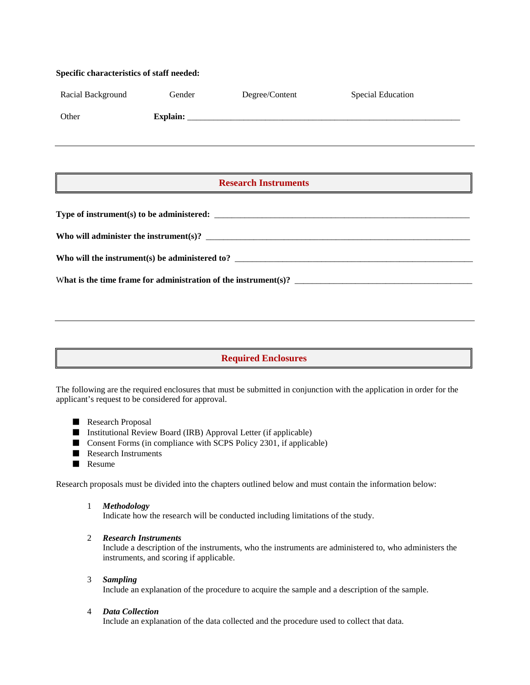# **Specific characteristics of staff needed:**  Racial Background Gender Degree/Content Special Education Other **Explain:**  $\blacksquare$ **Type of instrument(s) to be administered:** \_\_\_\_\_\_\_\_\_\_\_\_\_\_\_\_\_\_\_\_\_\_\_\_\_\_\_\_\_\_\_\_\_\_\_\_\_\_\_\_\_\_\_\_\_\_\_\_\_\_\_\_\_\_\_\_\_\_\_ **Who will administer the instrument(s)?** \_\_\_\_\_\_\_\_\_\_\_\_\_\_\_\_\_\_\_\_\_\_\_\_\_\_\_\_\_\_\_\_\_\_\_\_\_\_\_\_\_\_\_\_\_\_\_\_\_\_\_\_\_\_\_\_\_\_\_\_\_ Who will the instrument(s) be administered to? W**hat is the time frame for administration of the instrument(s)?** \_\_\_\_\_\_\_\_\_\_\_\_\_\_\_\_\_\_\_\_\_\_\_\_\_\_\_\_\_\_\_\_\_\_\_\_\_\_\_\_\_ **Research Instruments**

# **Required Enclosures**

The following are the required enclosures that must be submitted in conjunction with the application in order for the applicant's request to be considered for approval.

- Research Proposal
- Institutional Review Board (IRB) Approval Letter (if applicable)
- Consent Forms (in compliance with SCPS Policy 2301, if applicable)
- Research Instruments
- Resume

Research proposals must be divided into the chapters outlined below and must contain the information below:

1 *Methodology* 

Indicate how the research will be conducted including limitations of the study.

2 *Research Instruments*

Include a description of the instruments, who the instruments are administered to, who administers the instruments, and scoring if applicable.

3 *Sampling*

Include an explanation of the procedure to acquire the sample and a description of the sample.

4 *Data Collection*

Include an explanation of the data collected and the procedure used to collect that data.